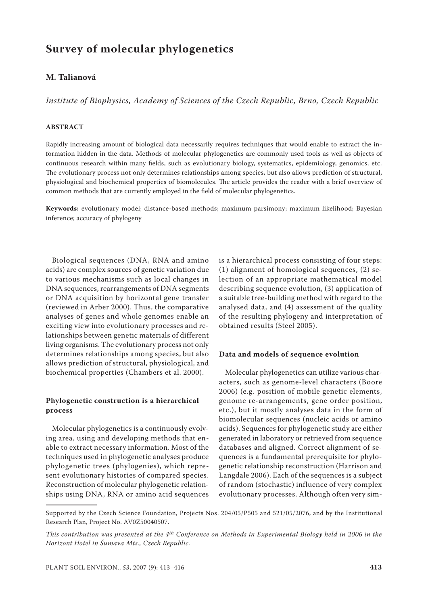# **Survey of molecular phylogenetics**

# **M. Talianová**

*Institute of Biophysics, Academy of Sciences of the Czech Republic, Brno, Czech Republic*

#### **ABSTRACT**

Rapidly increasing amount of biological data necessarily requires techniques that would enable to extract the information hidden in the data. Methods of molecular phylogenetics are commonly used tools as well as objects of continuous research within many fields, such as evolutionary biology, systematics, epidemiology, genomics, etc. The evolutionary process not only determines relationships among species, but also allows prediction of structural, physiological and biochemical properties of biomolecules. The article provides the reader with a brief overview of common methods that are currently employed in the field of molecular phylogenetics.

**Keywords:** evolutionary model; distance-based methods; maximum parsimony; maximum likelihood; Bayesian inference; accuracy of phylogeny

Biological sequences (DNA, RNA and amino acids) are complex sources of genetic variation due to various mechanisms such as local changes in DNA sequences, rearrangements of DNA segments or DNA acquisition by horizontal gene transfer (reviewed in Arber 2000). Thus, the comparative analyses of genes and whole genomes enable an exciting view into evolutionary processes and relationships between genetic materials of different living organisms. The evolutionary process not only determines relationships among species, but also allows prediction of structural, physiological, and biochemical properties (Chambers et al. 2000).

# **Phylogenetic construction is a hierarchical process**

Molecular phylogenetics is a continuously evolving area, using and developing methods that enable to extract necessary information. Most of the techniques used in phylogenetic analyses produce phylogenetic trees (phylogenies), which represent evolutionary histories of compared species. Reconstruction of molecular phylogenetic relationships using DNA, RNA or amino acid sequences is a hierarchical process consisting of four steps: (1) alignment of homological sequences, (2) selection of an appropriate mathematical model describing sequence evolution, (3) application of a suitable tree-building method with regard to the analysed data, and (4) assessment of the quality of the resulting phylogeny and interpretation of obtained results (Steel 2005).

#### **Data and models of sequence evolution**

Molecular phylogenetics can utilize various characters, such as genome-level characters (Boore 2006) (e.g. position of mobile genetic elements, genome re-arrangements, gene order position, etc.), but it mostly analyses data in the form of biomolecular sequences (nucleic acids or amino acids). Sequences for phylogenetic study are either generated in laboratory or retrieved from sequence databases and aligned. Correct alignment of sequences is a fundamental prerequisite for phylogenetic relationship reconstruction (Harrison and Langdale 2006). Each of the sequences is a subject of random (stochastic) influence of very complex evolutionary processes. Although often very sim-

Supported by the Czech Science Foundation, Projects Nos. 204/05/P505 and 521/05/2076, and by the Institutional Research Plan, Project No. AV0Z50040507.

*This contribution was presented at the 4th Conference on Methods in Experimental Biology held in 2006 in the Horizont Hotel in Šumava Mts., Czech Republic.*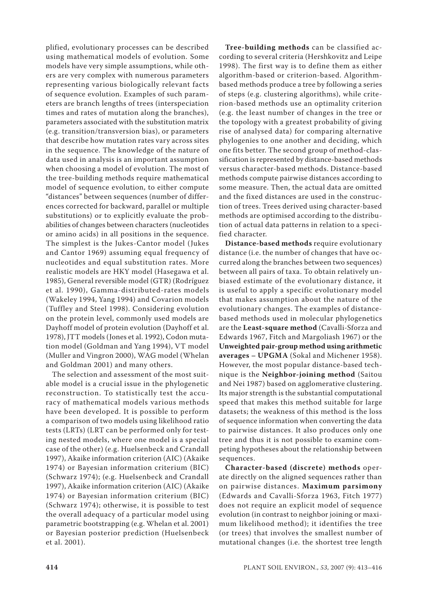plified, evolutionary processes can be described using mathematical models of evolution. Some models have very simple assumptions, while others are very complex with numerous parameters representing various biologically relevant facts of sequence evolution. Examples of such parameters are branch lengths of trees (interspeciation times and rates of mutation along the branches), parameters associated with the substitution matrix (e.g. transition/transversion bias), or parameters that describe how mutation rates vary across sites in the sequence. The knowledge of the nature of data used in analysis is an important assumption when choosing a model of evolution. The most of the tree-building methods require mathematical model of sequence evolution, to either compute "distances" between sequences (number of differences corrected for backward, parallel or multiple substitutions) or to explicitly evaluate the probabilities of changes between characters (nucleotides or amino acids) in all positions in the sequence. The simplest is the Jukes-Cantor model (Jukes and Cantor 1969) assuming equal frequency of nucleotides and equal substitution rates. More realistic models are HKY model (Hasegawa et al. 1985), General reversible model (GTR) (Rodríguez et al. 1990), Gamma-distributed-rates models (Wakeley 1994, Yang 1994) and Covarion models (Tuffley and Steel 1998). Considering evolution on the protein level, commonly used models are Dayhoff model of protein evolution (Dayhoff et al. 1978), JTT models (Jones et al. 1992), Codon mutation model (Goldman and Yang 1994), VT model (Muller and Vingron 2000), WAG model (Whelan and Goldman 2001) and many others.

The selection and assessment of the most suitable model is a crucial issue in the phylogenetic reconstruction. To statistically test the accuracy of mathematical models various methods have been developed. It is possible to perform a comparison of two models using likelihood ratio tests (LRTs) (LRT can be performed only for testing nested models, where one model is a special case of the other) (e.g. Huelsenbeck and Crandall 1997), Akaike information criterion (AIC) (Akaike 1974) or Bayesian information criterium (BIC) (Schwarz 1974); (e.g. Huelsenbeck and Crandall 1997), Akaike information criterion (AIC) (Akaike 1974) or Bayesian information criterium (BIC) (Schwarz 1974); otherwise, it is possible to test the overall adequacy of a particular model using parametric bootstrapping (e.g. Whelan et al. 2001) or Bayesian posterior prediction (Huelsenbeck et al. 2001).

**Tree-building methods** can be classified according to several criteria (Hershkovitz and Leipe 1998). The first way is to define them as either algorithm-based or criterion-based. Algorithmbased methods produce a tree by following a series of steps (e.g. clustering algorithms), while criterion-based methods use an optimality criterion (e.g. the least number of changes in the tree or the topology with a greatest probability of giving rise of analysed data) for comparing alternative phylogenies to one another and deciding, which one fits better. The second group of method-classification is represented by distance-based methods versus character-based methods. Distance-based methods compute pairwise distances according to some measure. Then, the actual data are omitted and the fixed distances are used in the construction of trees. Trees derived using character-based methods are optimised according to the distribution of actual data patterns in relation to a specified character.

**Distance-based methods** require evolutionary distance (i.e. the number of changes that have occurred along the branches between two sequences) between all pairs of taxa. To obtain relatively unbiased estimate of the evolutionary distance, it is useful to apply a specific evolutionary model that makes assumption about the nature of the evolutionary changes. The examples of distancebased methods used in molecular phylogenetics are the **Least-square method** (Cavalli-Sforza and Edwards 1967, Fitch and Margoliash 1967) or the **Unweighted pair-group method using arithmetic averages – UPGMA** (Sokal and Michener 1958). However, the most popular distance-based technique is the **Neighbor-joining method** (Saitou and Nei 1987) based on agglomerative clustering. Its major strength is the substantial computational speed that makes this method suitable for large datasets; the weakness of this method is the loss of sequence information when converting the data to pairwise distances. It also produces only one tree and thus it is not possible to examine competing hypotheses about the relationship between sequences.

**Character-based (discrete) methods** operate directly on the aligned sequences rather than on pairwise distances. **Maximum parsimony**  (Edwards and Cavalli-Sforza 1963, Fitch 1977) does not require an explicit model of sequence evolution (in contrast to neighbor joining or maximum likelihood method); it identifies the tree (or trees) that involves the smallest number of mutational changes (i.e. the shortest tree length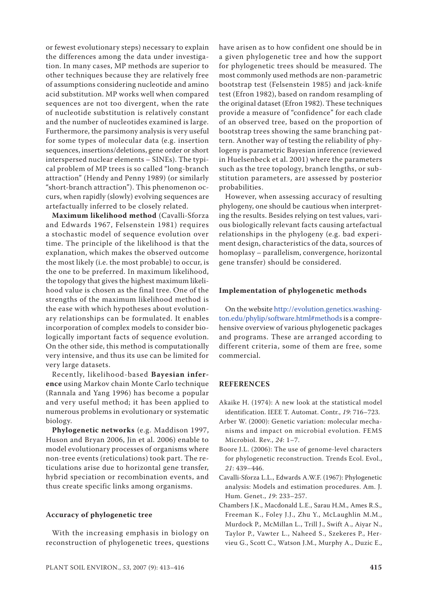or fewest evolutionary steps) necessary to explain the differences among the data under investigation. In many cases, MP methods are superior to other techniques because they are relatively free of assumptions considering nucleotide and amino acid substitution. MP works well when compared sequences are not too divergent, when the rate of nucleotide substitution is relatively constant and the number of nucleotides examined is large. Furthermore, the parsimony analysis is very useful for some types of molecular data (e.g. insertion sequences, insertions/deletions, gene order or short interspersed nuclear elements – SINEs). The typical problem of MP trees is so called "long-branch attraction" (Hendy and Penny 1989) (or similarly "short-branch attraction"). This phenomenon occurs, when rapidly (slowly) evolving sequences are artefactually inferred to be closely related.

**Maximum likelihood method** (Cavalli-Sforza and Edwards 1967, Felsenstein 1981) requires a stochastic model of sequence evolution over time. The principle of the likelihood is that the explanation, which makes the observed outcome the most likely (i.e. the most probable) to occur, is the one to be preferred. In maximum likelihood, the topology that gives the highest maximum likelihood value is chosen as the final tree. One of the strengths of the maximum likelihood method is the ease with which hypotheses about evolutionary relationships can be formulated. It enables incorporation of complex models to consider biologically important facts of sequence evolution. On the other side, this method is computationally very intensive, and thus its use can be limited for very large datasets.

Recently, likelihood-based **Bayesian inference** using Markov chain Monte Carlo technique (Rannala and Yang 1996) has become a popular and very useful method; it has been applied to numerous problems in evolutionary or systematic biology.

**Phylogenetic networks** (e.g. Maddison 1997, Huson and Bryan 2006, Jin et al. 2006) enable to model evolutionary processes of organisms where non-tree events (reticulations) took part. The reticulations arise due to horizontal gene transfer, hybrid speciation or recombination events, and thus create specific links among organisms.

# **Accuracy of phylogenetic tree**

With the increasing emphasis in biology on reconstruction of phylogenetic trees, questions

have arisen as to how confident one should be in a given phylogenetic tree and how the support for phylogenetic trees should be measured. The most commonly used methods are non-parametric bootstrap test (Felsenstein 1985) and jack-knife test (Efron 1982), based on random resampling of the original dataset (Efron 1982). These techniques provide a measure of "confidence" for each clade of an observed tree, based on the proportion of bootstrap trees showing the same branching pattern. Another way of testing the reliability of phylogeny is parametric Bayesian inference (reviewed in Huelsenbeck et al. 2001) where the parameters such as the tree topology, branch lengths, or substitution parameters, are assessed by posterior probabilities.

However, when assessing accuracy of resulting phylogeny, one should be cautious when interpreting the results. Besides relying on test values, various biologically relevant facts causing artefactual relationships in the phylogeny (e.g. bad experiment design, characteristics of the data, sources of homoplasy – parallelism, convergence, horizontal gene transfer) should be considered.

## **Implementation of phylogenetic methods**

On the website http://evolution.genetics.washington.edu/phylip/software.html#methods is a comprehensive overview of various phylogenetic packages and programs. These are arranged according to different criteria, some of them are free, some commercial.

# **REFERENCES**

- Akaike H. (1974): A new look at the statistical model identification. IEEE T. Automat. Contr., *19*: 716–723.
- Arber W. (2000): Genetic variation: molecular mechanisms and impact on microbial evolution. FEMS Microbiol. Rev., *24*: 1–7.
- Boore J.L. (2006): The use of genome-level characters for phylogenetic reconstruction. Trends Ecol. Evol., *21*: 439–446.
- Cavalli-Sforza L.L., Edwards A.W.F. (1967): Phylogenetic analysis: Models and estimation procedures. Am. J. Hum. Genet., *19*: 233–257.
- Chambers J.K., Macdonald L.E., Sarau H.M., Ames R.S., Freeman K., Foley J.J., Zhu Y., McLaughlin M.M., Murdock P., McMillan L., Trill J., Swift A., Aiyar N., Taylor P., Vawter L., Naheed S., Szekeres P., Hervieu G., Scott C., Watson J.M., Murphy A., Duzic E.,